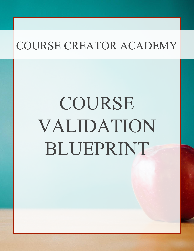# COURSE VALIDATION BLUEPRINT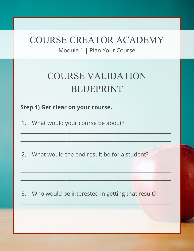Module 1 | Plan Your Course

## COURSE VALIDATION BLUEPRINT

 $\frac{1}{2}$  ,  $\frac{1}{2}$  ,  $\frac{1}{2}$  ,  $\frac{1}{2}$  ,  $\frac{1}{2}$  ,  $\frac{1}{2}$  ,  $\frac{1}{2}$  ,  $\frac{1}{2}$  ,  $\frac{1}{2}$  ,  $\frac{1}{2}$  ,  $\frac{1}{2}$  ,  $\frac{1}{2}$  ,  $\frac{1}{2}$  ,  $\frac{1}{2}$  ,  $\frac{1}{2}$  ,  $\frac{1}{2}$  ,  $\frac{1}{2}$  ,  $\frac{1}{2}$  ,  $\frac{1$ 

 $\frac{1}{2}$  , and the state of  $\frac{1}{2}$  ,  $\frac{1}{2}$  ,  $\frac{1}{2}$  ,  $\frac{1}{2}$  ,  $\frac{1}{2}$  ,  $\frac{1}{2}$  ,  $\frac{1}{2}$  ,  $\frac{1}{2}$  ,  $\frac{1}{2}$  ,  $\frac{1}{2}$  ,  $\frac{1}{2}$  ,  $\frac{1}{2}$  ,  $\frac{1}{2}$  ,  $\frac{1}{2}$  ,  $\frac{1}{2}$  ,  $\frac{1}{2}$  ,

 $\mathcal{L}_\mathcal{A}$  and  $\mathcal{L}_\mathcal{A}$  and  $\mathcal{L}_\mathcal{A}$  are the set of the set of the set of the set of the set of the set of the set of the set of the set of the set of the set of the set of the set of the set of the set of

 $\mathcal{L}=\mathcal{L}=\mathcal{L}=\mathcal{L}=\mathcal{L}=\mathcal{L}=\mathcal{L}=\mathcal{L}=\mathcal{L}=\mathcal{L}=\mathcal{L}=\mathcal{L}=\mathcal{L}=\mathcal{L}=\mathcal{L}=\mathcal{L}=\mathcal{L}=\mathcal{L}=\mathcal{L}=\mathcal{L}=\mathcal{L}=\mathcal{L}=\mathcal{L}=\mathcal{L}=\mathcal{L}=\mathcal{L}=\mathcal{L}=\mathcal{L}=\mathcal{L}=\mathcal{L}=\mathcal{L}=\mathcal{L}=\mathcal{L}=\mathcal{L}=\mathcal{L}=\mathcal{L}=\mathcal{$ 

 $\frac{1}{2}$  , the set of the set of the set of the set of the set of the set of the set of the set of the set of the set of the set of the set of the set of the set of the set of the set of the set of the set of the set of

 $\mathcal{L}_\mathcal{A}$  , and the contribution of the contribution of the contribution of the contribution of the contribution of the contribution of the contribution of the contribution of the contribution of the contribution of

 $\mathcal{L}_\text{max}$  ,  $\mathcal{L}_\text{max}$  ,  $\mathcal{L}_\text{max}$  ,  $\mathcal{L}_\text{max}$  ,  $\mathcal{L}_\text{max}$  ,  $\mathcal{L}_\text{max}$  ,  $\mathcal{L}_\text{max}$  ,  $\mathcal{L}_\text{max}$ 

#### **Step 1) Get clear on your course.**

1. What would your course be about?

2. What would the end result be for a student?

3. Who would be interested in getting that result?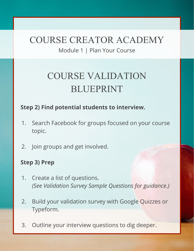Module 1 | Plan Your Course

# COURSE VALIDATION BLUEPRINT

#### **Step 2) Find potential students to interview.**

- 1. Search Facebook for groups focused on your course topic.
- 2. Join groups and get involved.

#### **Step 3) Prep**

- 1. Create a list of questions. *(See Validation Survey Sample Questions for guidance.)*
- 2. Build your validation survey with Google Quizzes or Typeform.
- 3. Outline your interview questions to dig deeper.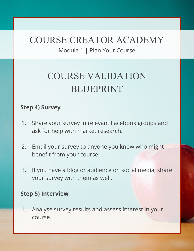Module 1 | Plan Your Course

# COURSE VALIDATION BLUEPRINT

#### **Step 4) Survey**

- 1. Share your survey in relevant Facebook groups and ask for help with market research.
- 2. Email your survey to anyone you know who might benefit from your course.
- 3. If you have a blog or audience on social media, share your survey with them as well.

#### **Step 5) Interview**

1. Analyse survey results and assess interest in your course.